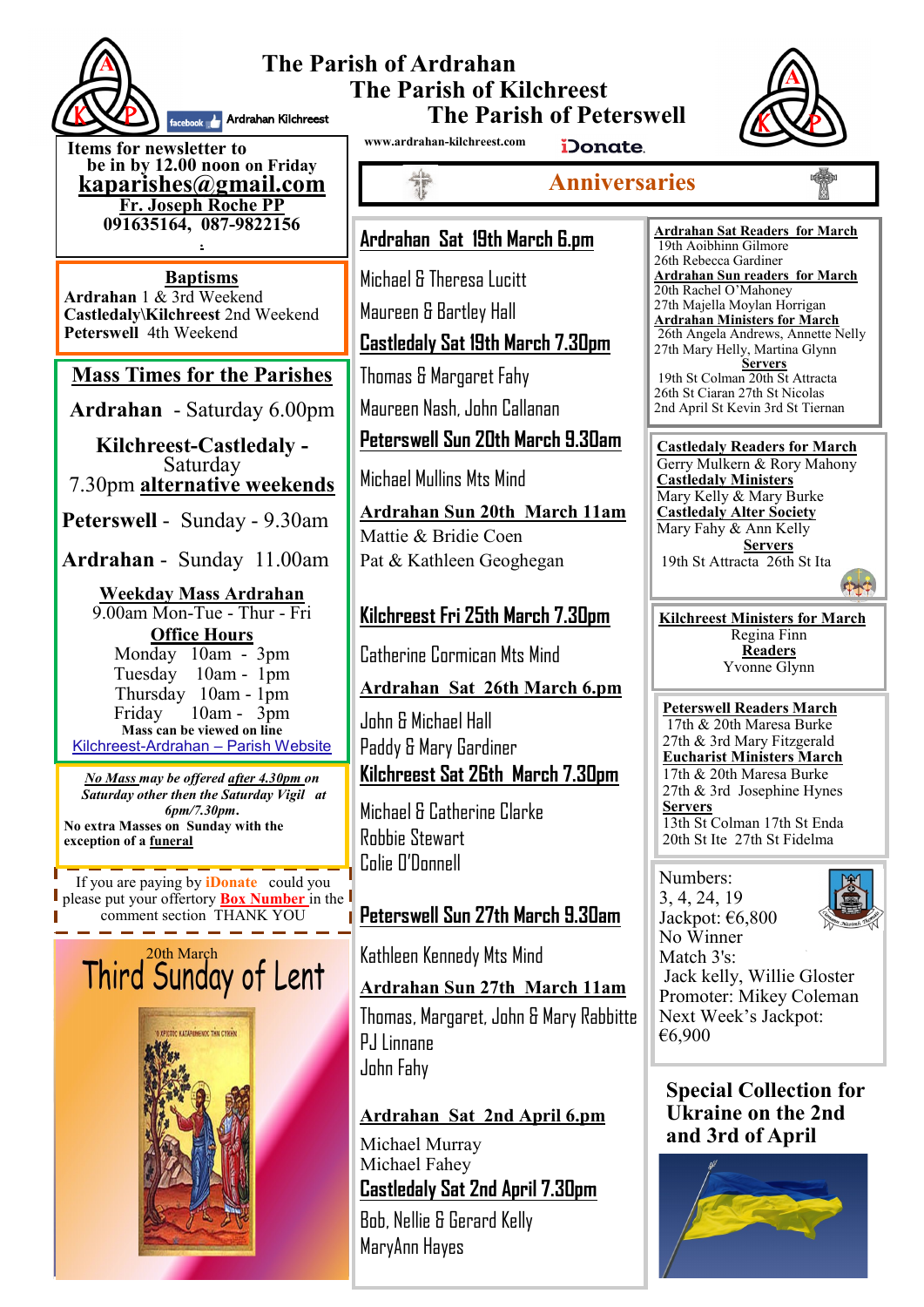

#### **The Parish of Ardrahan The Parish of Kilchreest The Parish of Peterswell Ardrahan Kilchreest**



**Items for newsletter to be in by 12.00 noon on Friday [kaparishes@gmail.com](mailto:kaparish@gmail.com) Fr. Joseph Roche PP 091635164, 087-9822156 .**

**Baptisms Ardrahan** 1 & 3rd Weekend **Castledaly\Kilchreest** 2nd Weekend **Peterswell** 4th Weekend

# **Mass Times for the Parishes**

**Ardrahan** - Saturday 6.00pm

**Kilchreest-Castledaly -**  Saturday 7.30pm **alternative weekends**

**Peterswell** - Sunday - 9.30am

**Ardrahan** - Sunday 11.00am

**Weekday Mass Ardrahan**  9.00am Mon-Tue - Thur - Fri **Office Hours**  Monday 10am - 3pm Tuesday 10am - 1pm Thursday 10am - 1pm Friday 10am - 3pm **Mass can be viewed on line**  Kilchreest-Ardrahan – Parish Website

*No Mass may be offered after 4.30pm on Saturday other then the Saturday Vigil at 6pm/7.30pm***. No extra Masses on Sunday with the exception of a funeral**

If you are paying by **iDonate** could you please put your offertory **Box Number** in the comment section THANK YOU

# Third<sup>20th March</sup> of Lent



**www.ardrahan-kilchreest.com**

iDonate.

**Anniversaries**

# **Ardrahan Sat 19th March 6.pm**

Michael & Theresa Lucitt Maureen & Bartley Hall **Castledaly Sat 19th March 7.30pm**

Thomas & Margaret Fahy

Maureen Nash, John Callanan

# **Peterswell Sun 20th March 9.30am**

Michael Mullins Mts Mind

**Ardrahan Sun 20th March 11am** Mattie & Bridie Coen Pat & Kathleen Geoghegan

# **Kilchreest Fri 25th March 7.30pm**

Catherine Cormican Mts Mind

## **Ardrahan Sat 26th March 6.pm**

John & Michael Hall Paddy & Mary Gardiner **Kilchreest Sat 26th March 7.30pm**

Michael & Catherine Clarke Robbie Stewart Colie O'Donnell

# **Peterswell Sun 27th March 9.30am**

Kathleen Kennedy Mts Mind

## **Ardrahan Sun 27th March 11am**

Thomas, Margaret, John & Mary Rabbitte P.I Linnane John Fahy

## **Ardrahan Sat 2nd April 6.pm**

Michael Murray Michael Fahey **Castledaly Sat 2nd April 7.30pm**

Bob, Nellie & Gerard Kelly MaryAnn Hayes

**Ardrahan Sat Readers for March**  19th Aoibhinn Gilmore 26th Rebecca Gardiner **Ardrahan Sun readers for March** 20th Rachel O'Mahoney 27th Majella Moylan Horrigan **Ardrahan Ministers for March** 26th Angela Andrews, Annette Nelly 27th Mary Helly, Martina Glynn **Servers** 19th St Colman 20th St Attracta 26th St Ciaran 27th St Nicolas 2nd April St Kevin 3rd St Tiernan

**Castledaly Readers for March** Gerry Mulkern & Rory Mahony **Castledaly Ministers** Mary Kelly & Mary Burke **Castledaly Alter Society** Mary Fahy & Ann Kelly **Servers** 19th St Attracta 26th St Ita

**Kilchreest Ministers for March** Regina Finn **Readers** Yvonne Glynn

**Peterswell Readers March** 17th & 20th Maresa Burke 27th & 3rd Mary Fitzgerald **Eucharist Ministers March** 17th & 20th Maresa Burke 27th & 3rd Josephine Hynes **Servers** 13th St Colman 17th St Enda 20th St Ite 27th St Fidelma

Numbers: 3, 4, 24, 19 Jackpot: €6,800 No Winner



Match 3's: Jack kelly, Willie Gloster Promoter: Mikey Coleman Next Week's Jackpot: €6,900

**Special Collection for Ukraine on the 2nd and 3rd of April**